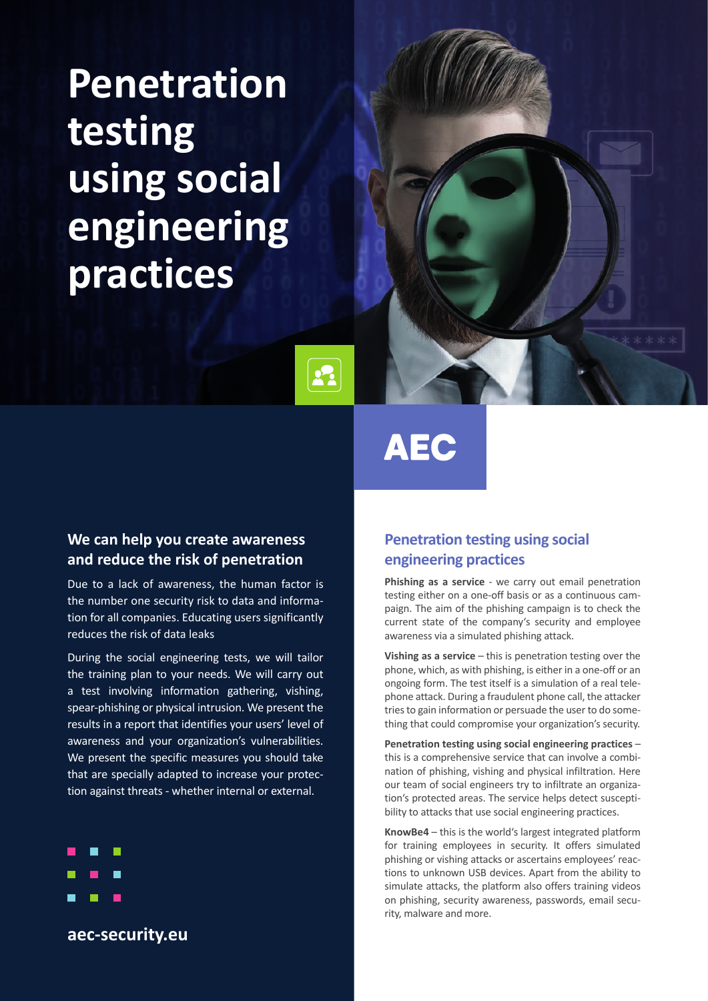# **Penetration testing using social engineering practices**



# **AEC**

 $\mathbf{R}$ 

### **We can help you create awareness and reduce the risk of penetration**

Due to a lack of awareness, the human factor is the number one security risk to data and information for all companies. Educating users significantly reduces the risk of data leaks

During the social engineering tests, we will tailor the training plan to your needs. We will carry out a test involving information gathering, vishing, spear-phishing or physical intrusion. We present the results in a report that identifies your users' level of awareness and your organization's vulnerabilities. We present the specific measures you should take that are specially adapted to increase your protection against threats - whether internal or external.



**aec-security.eu**

## **Penetration testing using social engineering practices**

**Phishing as a service** - we carry out email penetration testing either on a one-off basis or as a continuous campaign. The aim of the phishing campaign is to check the current state of the company's security and employee awareness via a simulated phishing attack.

**Vishing as a service** – this is penetration testing over the phone, which, as with phishing, is either in a one-off or an ongoing form. The test itself is a simulation of a real telephone attack. During a fraudulent phone call, the attacker tries to gain information or persuade the user to do something that could compromise your organization's security.

**Penetration testing using social engineering practices** – this is a comprehensive service that can involve a combination of phishing, vishing and physical infiltration. Here our team of social engineers try to infiltrate an organization's protected areas. The service helps detect susceptibility to attacks that use social engineering practices.

**KnowBe4** – this is the world's largest integrated platform for training employees in security. It offers simulated phishing or vishing attacks or ascertains employees' reactions to unknown USB devices. Apart from the ability to simulate attacks, the platform also offers training videos on phishing, security awareness, passwords, email security, malware and more.